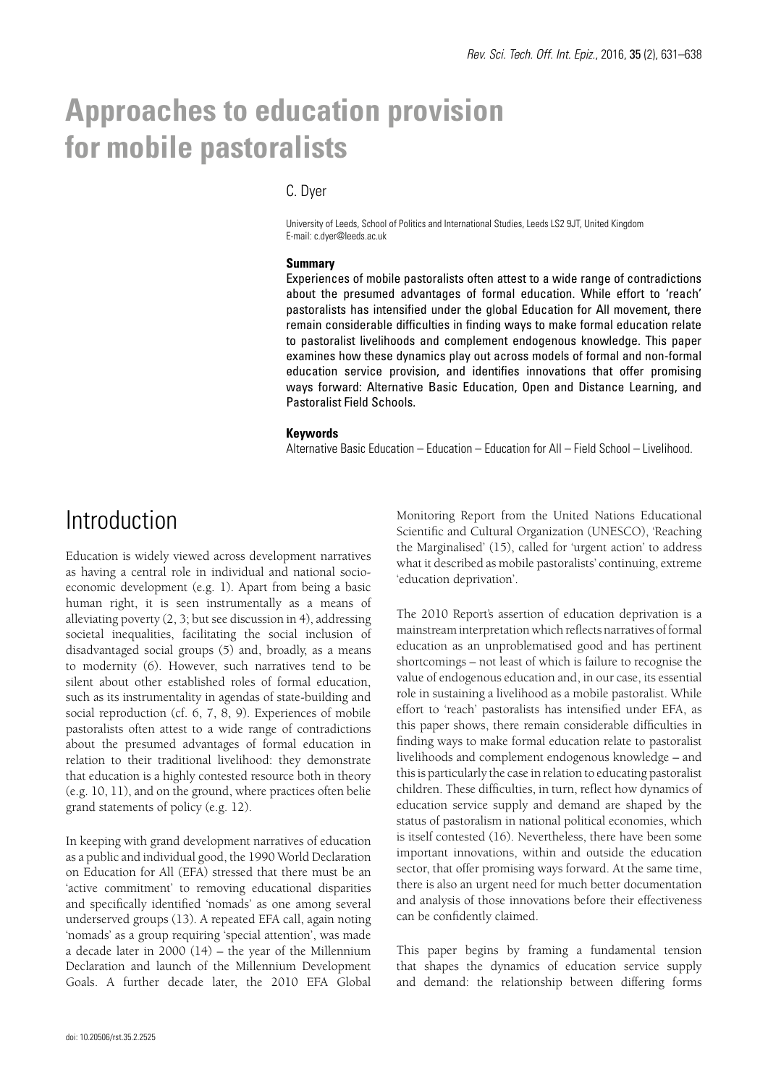# **Approaches to education provision for mobile pastoralists**

### C. Dyer

University of Leeds, School of Politics and International Studies, Leeds LS2 9JT, United Kingdom E-mail: c.dyer@leeds.ac.uk

#### **Summary**

Experiences of mobile pastoralists often attest to a wide range of contradictions about the presumed advantages of formal education. While effort to 'reach' pastoralists has intensified under the global Education for All movement, there remain considerable difficulties in finding ways to make formal education relate to pastoralist livelihoods and complement endogenous knowledge. This paper examines how these dynamics play out across models of formal and non-formal education service provision, and identifies innovations that offer promising ways forward: Alternative Basic Education, Open and Distance Learning, and Pastoralist Field Schools.

#### **Keywords**

Alternative Basic Education – Education – Education for All – Field School – Livelihood.

### Introduction

Education is widely viewed across development narratives as having a central role in individual and national socioeconomic development (e.g. 1). Apart from being a basic human right, it is seen instrumentally as a means of alleviating poverty (2, 3; but see discussion in 4), addressing societal inequalities, facilitating the social inclusion of disadvantaged social groups (5) and, broadly, as a means to modernity (6). However, such narratives tend to be silent about other established roles of formal education, such as its instrumentality in agendas of state-building and social reproduction (cf. 6, 7, 8, 9). Experiences of mobile pastoralists often attest to a wide range of contradictions about the presumed advantages of formal education in relation to their traditional livelihood: they demonstrate that education is a highly contested resource both in theory (e.g. 10, 11), and on the ground, where practices often belie grand statements of policy (e.g. 12).

In keeping with grand development narratives of education as a public and individual good, the 1990 World Declaration on Education for All (EFA) stressed that there must be an 'active commitment' to removing educational disparities and specifically identified 'nomads' as one among several underserved groups (13). A repeated EFA call, again noting 'nomads' as a group requiring 'special attention', was made a decade later in 2000 (14) – the year of the Millennium Declaration and launch of the Millennium Development Goals. A further decade later, the 2010 EFA Global

Monitoring Report from the United Nations Educational Scientific and Cultural Organization (UNESCO), 'Reaching the Marginalised' (15), called for 'urgent action' to address what it described as mobile pastoralists' continuing, extreme 'education deprivation'.

The 2010 Report's assertion of education deprivation is a mainstream interpretation which reflects narratives of formal education as an unproblematised good and has pertinent shortcomings – not least of which is failure to recognise the value of endogenous education and, in our case, its essential role in sustaining a livelihood as a mobile pastoralist. While effort to 'reach' pastoralists has intensified under EFA, as this paper shows, there remain considerable difficulties in finding ways to make formal education relate to pastoralist livelihoods and complement endogenous knowledge – and this is particularly the case in relation to educating pastoralist children. These difficulties, in turn, reflect how dynamics of education service supply and demand are shaped by the status of pastoralism in national political economies, which is itself contested (16). Nevertheless, there have been some important innovations, within and outside the education sector, that offer promising ways forward. At the same time, there is also an urgent need for much better documentation and analysis of those innovations before their effectiveness can be confidently claimed.

This paper begins by framing a fundamental tension that shapes the dynamics of education service supply and demand: the relationship between differing forms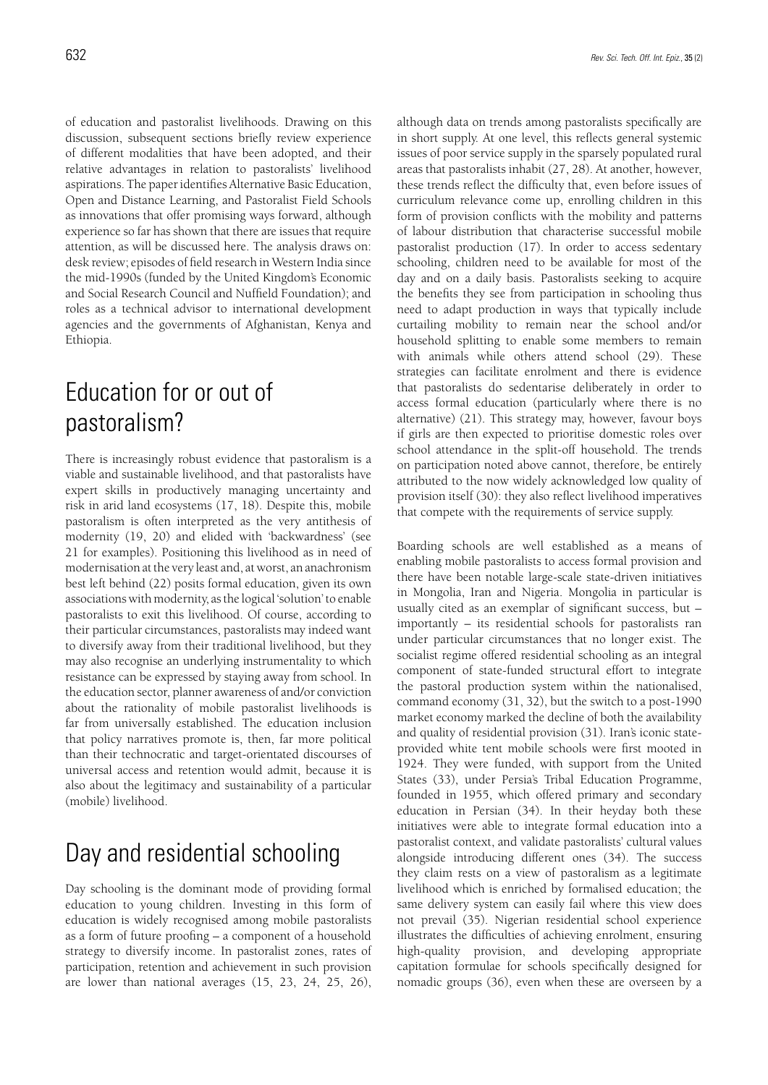of education and pastoralist livelihoods. Drawing on this discussion, subsequent sections briefly review experience of different modalities that have been adopted, and their relative advantages in relation to pastoralists' livelihood aspirations. The paper identifies Alternative Basic Education, Open and Distance Learning, and Pastoralist Field Schools as innovations that offer promising ways forward, although experience so far has shown that there are issues that require attention, as will be discussed here. The analysis draws on: desk review; episodes of field research in Western India since the mid-1990s (funded by the United Kingdom's Economic and Social Research Council and Nuffield Foundation); and roles as a technical advisor to international development agencies and the governments of Afghanistan, Kenya and Ethiopia.

# Education for or out of pastoralism?

There is increasingly robust evidence that pastoralism is a viable and sustainable livelihood, and that pastoralists have expert skills in productively managing uncertainty and risk in arid land ecosystems (17, 18). Despite this, mobile pastoralism is often interpreted as the very antithesis of modernity (19, 20) and elided with 'backwardness' (see 21 for examples). Positioning this livelihood as in need of modernisation at the very least and, at worst, an anachronism best left behind (22) posits formal education, given its own associations with modernity, as the logical 'solution' to enable pastoralists to exit this livelihood. Of course, according to their particular circumstances, pastoralists may indeed want to diversify away from their traditional livelihood, but they may also recognise an underlying instrumentality to which resistance can be expressed by staying away from school. In the education sector, planner awareness of and/or conviction about the rationality of mobile pastoralist livelihoods is far from universally established. The education inclusion that policy narratives promote is, then, far more political than their technocratic and target-orientated discourses of universal access and retention would admit, because it is also about the legitimacy and sustainability of a particular (mobile) livelihood.

# Day and residential schooling

Day schooling is the dominant mode of providing formal education to young children. Investing in this form of education is widely recognised among mobile pastoralists as a form of future proofing – a component of a household strategy to diversify income. In pastoralist zones, rates of participation, retention and achievement in such provision are lower than national averages (15, 23, 24, 25, 26),

although data on trends among pastoralists specifically are in short supply. At one level, this reflects general systemic issues of poor service supply in the sparsely populated rural areas that pastoralists inhabit (27, 28). At another, however, these trends reflect the difficulty that, even before issues of curriculum relevance come up, enrolling children in this form of provision conflicts with the mobility and patterns of labour distribution that characterise successful mobile pastoralist production (17). In order to access sedentary schooling, children need to be available for most of the day and on a daily basis. Pastoralists seeking to acquire the benefits they see from participation in schooling thus need to adapt production in ways that typically include curtailing mobility to remain near the school and/or household splitting to enable some members to remain with animals while others attend school (29). These strategies can facilitate enrolment and there is evidence that pastoralists do sedentarise deliberately in order to access formal education (particularly where there is no alternative) (21). This strategy may, however, favour boys if girls are then expected to prioritise domestic roles over school attendance in the split-off household. The trends on participation noted above cannot, therefore, be entirely attributed to the now widely acknowledged low quality of provision itself (30): they also reflect livelihood imperatives that compete with the requirements of service supply.

Boarding schools are well established as a means of enabling mobile pastoralists to access formal provision and there have been notable large-scale state-driven initiatives in Mongolia, Iran and Nigeria. Mongolia in particular is usually cited as an exemplar of significant success, but – importantly – its residential schools for pastoralists ran under particular circumstances that no longer exist. The socialist regime offered residential schooling as an integral component of state-funded structural effort to integrate the pastoral production system within the nationalised, command economy (31, 32), but the switch to a post-1990 market economy marked the decline of both the availability and quality of residential provision (31). Iran's iconic stateprovided white tent mobile schools were first mooted in 1924. They were funded, with support from the United States (33), under Persia's Tribal Education Programme, founded in 1955, which offered primary and secondary education in Persian (34). In their heyday both these initiatives were able to integrate formal education into a pastoralist context, and validate pastoralists' cultural values alongside introducing different ones (34). The success they claim rests on a view of pastoralism as a legitimate livelihood which is enriched by formalised education; the same delivery system can easily fail where this view does not prevail (35). Nigerian residential school experience illustrates the difficulties of achieving enrolment, ensuring high-quality provision, and developing appropriate capitation formulae for schools specifically designed for nomadic groups (36), even when these are overseen by a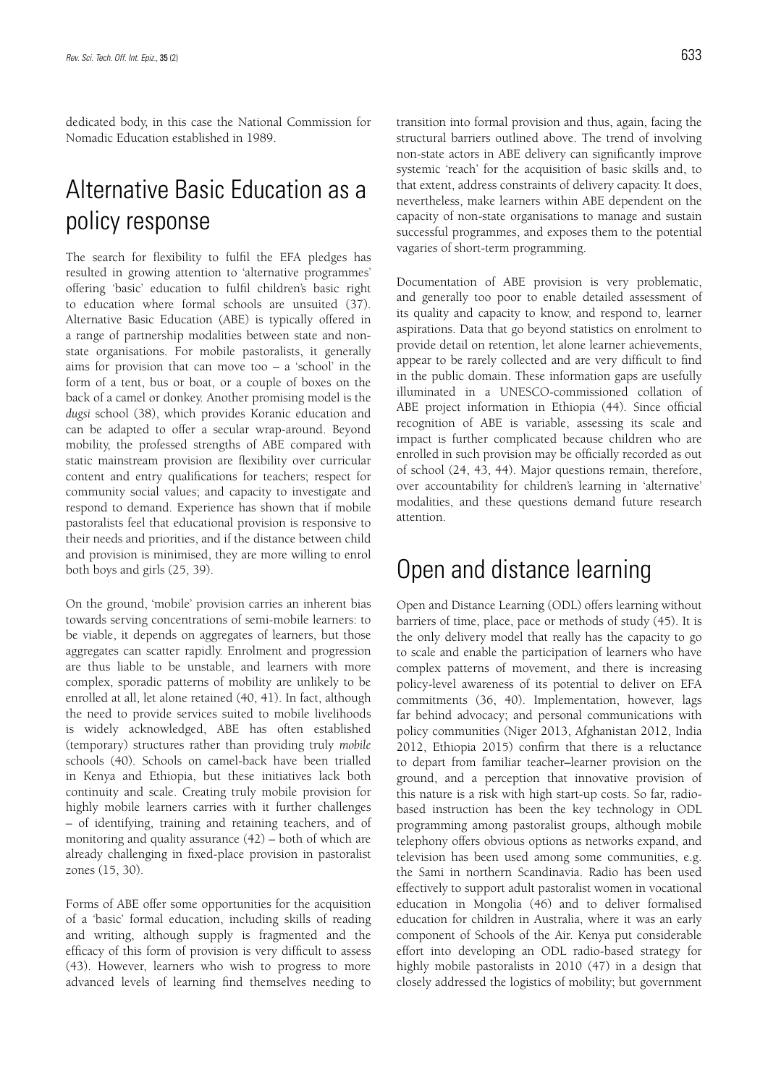dedicated body, in this case the National Commission for Nomadic Education established in 1989.

# Alternative Basic Education as a policy response

The search for flexibility to fulfil the EFA pledges has resulted in growing attention to 'alternative programmes' offering 'basic' education to fulfil children's basic right to education where formal schools are unsuited (37). Alternative Basic Education (ABE) is typically offered in a range of partnership modalities between state and nonstate organisations. For mobile pastoralists, it generally aims for provision that can move too – a 'school' in the form of a tent, bus or boat, or a couple of boxes on the back of a camel or donkey. Another promising model is the *dugsi* school (38), which provides Koranic education and can be adapted to offer a secular wrap-around. Beyond mobility, the professed strengths of ABE compared with static mainstream provision are flexibility over curricular content and entry qualifications for teachers; respect for community social values; and capacity to investigate and respond to demand. Experience has shown that if mobile pastoralists feel that educational provision is responsive to their needs and priorities, and if the distance between child and provision is minimised, they are more willing to enrol both boys and girls (25, 39).

On the ground, 'mobile' provision carries an inherent bias towards serving concentrations of semi-mobile learners: to be viable, it depends on aggregates of learners, but those aggregates can scatter rapidly. Enrolment and progression are thus liable to be unstable, and learners with more complex, sporadic patterns of mobility are unlikely to be enrolled at all, let alone retained (40, 41). In fact, although the need to provide services suited to mobile livelihoods is widely acknowledged, ABE has often established (temporary) structures rather than providing truly *mobile* schools (40). Schools on camel-back have been trialled in Kenya and Ethiopia, but these initiatives lack both continuity and scale. Creating truly mobile provision for highly mobile learners carries with it further challenges – of identifying, training and retaining teachers, and of monitoring and quality assurance (42) – both of which are already challenging in fixed-place provision in pastoralist zones (15, 30).

Forms of ABE offer some opportunities for the acquisition of a 'basic' formal education, including skills of reading and writing, although supply is fragmented and the efficacy of this form of provision is very difficult to assess (43). However, learners who wish to progress to more advanced levels of learning find themselves needing to transition into formal provision and thus, again, facing the structural barriers outlined above. The trend of involving non-state actors in ABE delivery can significantly improve systemic 'reach' for the acquisition of basic skills and, to that extent, address constraints of delivery capacity. It does, nevertheless, make learners within ABE dependent on the capacity of non-state organisations to manage and sustain successful programmes, and exposes them to the potential vagaries of short-term programming.

Documentation of ABE provision is very problematic, and generally too poor to enable detailed assessment of its quality and capacity to know, and respond to, learner aspirations. Data that go beyond statistics on enrolment to provide detail on retention, let alone learner achievements, appear to be rarely collected and are very difficult to find in the public domain. These information gaps are usefully illuminated in a UNESCO-commissioned collation of ABE project information in Ethiopia (44). Since official recognition of ABE is variable, assessing its scale and impact is further complicated because children who are enrolled in such provision may be officially recorded as out of school (24, 43, 44). Major questions remain, therefore, over accountability for children's learning in 'alternative' modalities, and these questions demand future research attention.

### Open and distance learning

Open and Distance Learning (ODL) offers learning without barriers of time, place, pace or methods of study (45). It is the only delivery model that really has the capacity to go to scale and enable the participation of learners who have complex patterns of movement, and there is increasing policy-level awareness of its potential to deliver on EFA commitments (36, 40). Implementation, however, lags far behind advocacy; and personal communications with policy communities (Niger 2013, Afghanistan 2012, India 2012, Ethiopia 2015) confirm that there is a reluctance to depart from familiar teacher–learner provision on the ground, and a perception that innovative provision of this nature is a risk with high start-up costs. So far, radiobased instruction has been the key technology in ODL programming among pastoralist groups, although mobile telephony offers obvious options as networks expand, and television has been used among some communities, e.g. the Sami in northern Scandinavia. Radio has been used effectively to support adult pastoralist women in vocational education in Mongolia (46) and to deliver formalised education for children in Australia, where it was an early component of Schools of the Air. Kenya put considerable effort into developing an ODL radio-based strategy for highly mobile pastoralists in 2010 (47) in a design that closely addressed the logistics of mobility; but government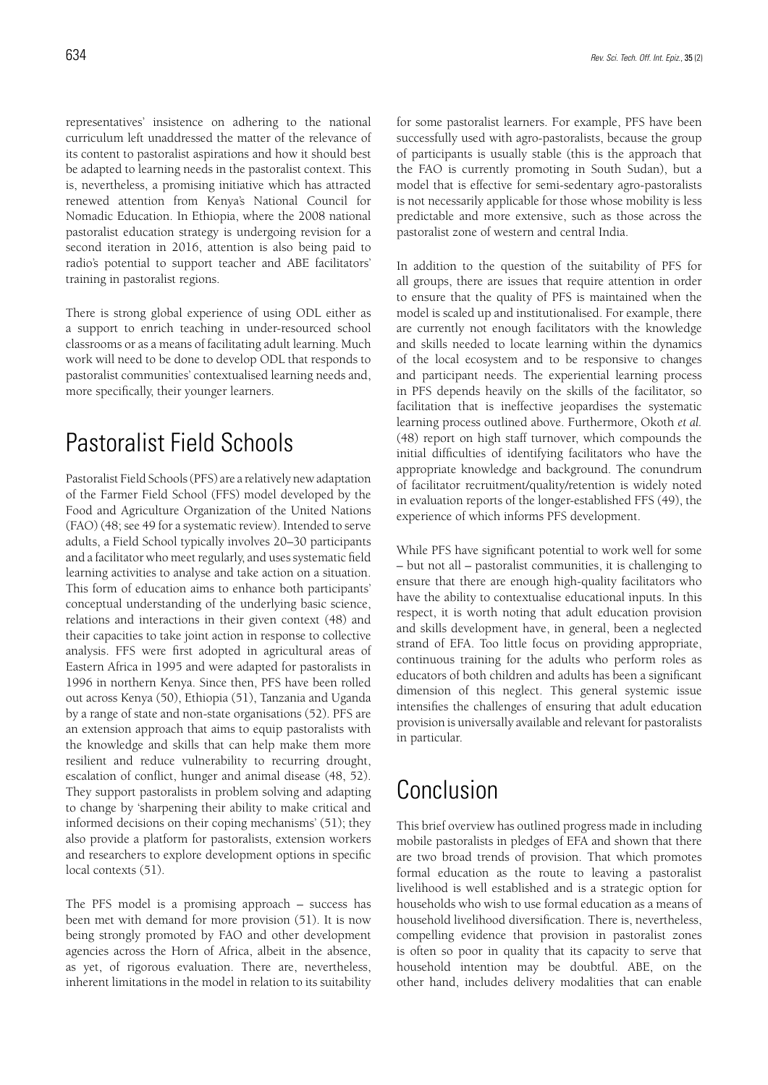representatives' insistence on adhering to the national curriculum left unaddressed the matter of the relevance of its content to pastoralist aspirations and how it should best be adapted to learning needs in the pastoralist context. This is, nevertheless, a promising initiative which has attracted renewed attention from Kenya's National Council for Nomadic Education. In Ethiopia, where the 2008 national pastoralist education strategy is undergoing revision for a second iteration in 2016, attention is also being paid to radio's potential to support teacher and ABE facilitators' training in pastoralist regions.

There is strong global experience of using ODL either as a support to enrich teaching in under-resourced school classrooms or as a means of facilitating adult learning. Much work will need to be done to develop ODL that responds to pastoralist communities' contextualised learning needs and, more specifically, their younger learners.

## Pastoralist Field Schools

Pastoralist Field Schools (PFS) are a relatively new adaptation of the Farmer Field School (FFS) model developed by the Food and Agriculture Organization of the United Nations (FAO) (48; see 49 for a systematic review). Intended to serve adults, a Field School typically involves 20–30 participants and a facilitator who meet regularly, and uses systematic field learning activities to analyse and take action on a situation. This form of education aims to enhance both participants' conceptual understanding of the underlying basic science, relations and interactions in their given context (48) and their capacities to take joint action in response to collective analysis. FFS were first adopted in agricultural areas of Eastern Africa in 1995 and were adapted for pastoralists in 1996 in northern Kenya. Since then, PFS have been rolled out across Kenya (50), Ethiopia (51), Tanzania and Uganda by a range of state and non-state organisations (52). PFS are an extension approach that aims to equip pastoralists with the knowledge and skills that can help make them more resilient and reduce vulnerability to recurring drought, escalation of conflict, hunger and animal disease (48, 52). They support pastoralists in problem solving and adapting to change by 'sharpening their ability to make critical and informed decisions on their coping mechanisms' (51); they also provide a platform for pastoralists, extension workers and researchers to explore development options in specific local contexts (51).

The PFS model is a promising approach – success has been met with demand for more provision (51). It is now being strongly promoted by FAO and other development agencies across the Horn of Africa, albeit in the absence, as yet, of rigorous evaluation. There are, nevertheless, inherent limitations in the model in relation to its suitability for some pastoralist learners. For example, PFS have been successfully used with agro-pastoralists, because the group of participants is usually stable (this is the approach that the FAO is currently promoting in South Sudan), but a model that is effective for semi-sedentary agro-pastoralists is not necessarily applicable for those whose mobility is less predictable and more extensive, such as those across the pastoralist zone of western and central India.

In addition to the question of the suitability of PFS for all groups, there are issues that require attention in order to ensure that the quality of PFS is maintained when the model is scaled up and institutionalised. For example, there are currently not enough facilitators with the knowledge and skills needed to locate learning within the dynamics of the local ecosystem and to be responsive to changes and participant needs. The experiential learning process in PFS depends heavily on the skills of the facilitator, so facilitation that is ineffective jeopardises the systematic learning process outlined above. Furthermore, Okoth *et al.* (48) report on high staff turnover, which compounds the initial difficulties of identifying facilitators who have the appropriate knowledge and background. The conundrum of facilitator recruitment/quality/retention is widely noted in evaluation reports of the longer-established FFS (49), the experience of which informs PFS development.

While PFS have significant potential to work well for some – but not all – pastoralist communities, it is challenging to ensure that there are enough high-quality facilitators who have the ability to contextualise educational inputs. In this respect, it is worth noting that adult education provision and skills development have, in general, been a neglected strand of EFA. Too little focus on providing appropriate, continuous training for the adults who perform roles as educators of both children and adults has been a significant dimension of this neglect. This general systemic issue intensifies the challenges of ensuring that adult education provision is universally available and relevant for pastoralists in particular.

### Conclusion

This brief overview has outlined progress made in including mobile pastoralists in pledges of EFA and shown that there are two broad trends of provision. That which promotes formal education as the route to leaving a pastoralist livelihood is well established and is a strategic option for households who wish to use formal education as a means of household livelihood diversification. There is, nevertheless, compelling evidence that provision in pastoralist zones is often so poor in quality that its capacity to serve that household intention may be doubtful. ABE, on the other hand, includes delivery modalities that can enable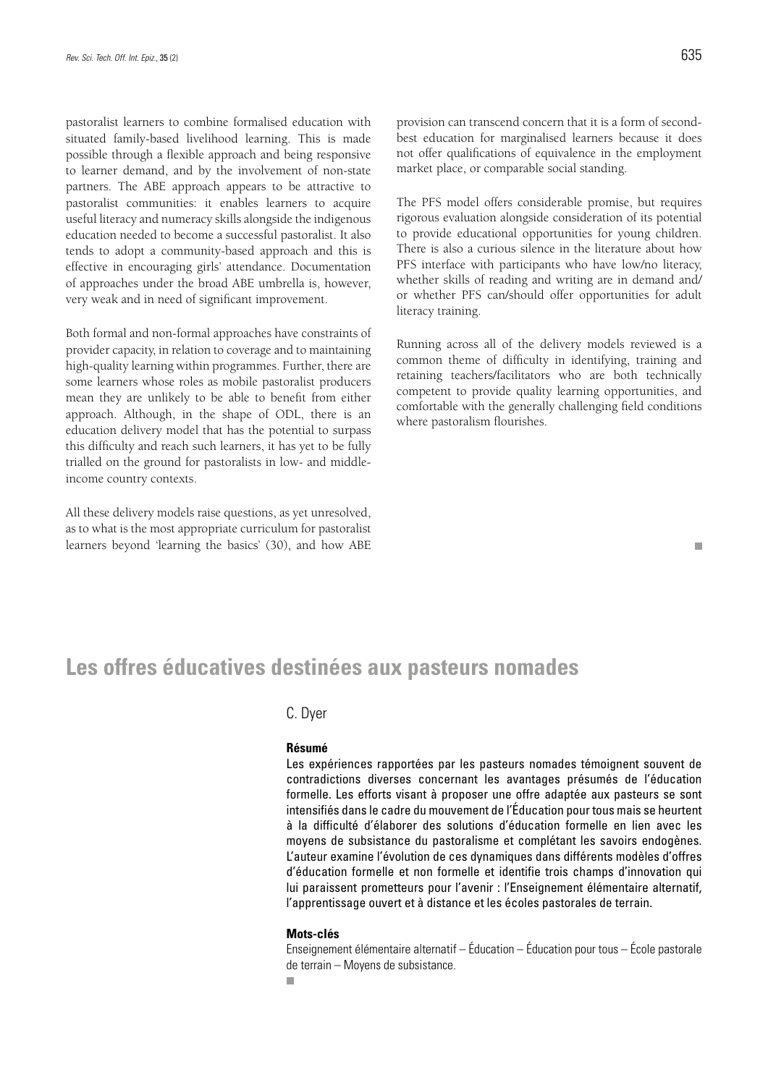pastoralist learners to combine formalised education with situated family-based livelihood learning. This is made possible through a flexible approach and being responsive to learner demand, and by the involvement of non-state partners. The ABE approach appears to be attractive to pastoralist communities: it enables learners to acquire useful literacy and numeracy skills alongside the indigenous education needed to become a successful pastoralist. It also tends to adopt a community-based approach and this is effective in encouraging girls' attendance. Documentation of approaches under the broad ABE umbrella is, however, very weak and in need of significant improvement.

Both formal and non-formal approaches have constraints of provider capacity, in relation to coverage and to maintaining high-quality learning within programmes. Further, there are some learners whose roles as mobile pastoralist producers mean they are unlikely to be able to benefit from either approach. Although, in the shape of ODL, there is an education delivery model that has the potential to surpass this difficulty and reach such learners, it has yet to be fully trialled on the ground for pastoralists in low- and middleincome country contexts.

All these delivery models raise questions, as yet unresolved, as to what is the most appropriate curriculum for pastoralist learners beyond 'learning the basics' (30), and how ABE

 $\overline{\phantom{a}}$ 

provision can transcend concern that it is a form of secondbest education for marginalised learners because it does not offer qualifications of equivalence in the employment market place, or comparable social standing.

The PFS model offers considerable promise, but requires rigorous evaluation alongside consideration of its potential to provide educational opportunities for young children. There is also a curious silence in the literature about how PFS interface with participants who have low/no literacy, whether skills of reading and writing are in demand and/ or whether PFS can/should offer opportunities for adult literacy training.

Running across all of the delivery models reviewed is a common theme of difficulty in identifying, training and retaining teachers/facilitators who are both technically competent to provide quality learning opportunities, and comfortable with the generally challenging field conditions where pastoralism flourishes.

### **Les offres éducatives destinées aux pasteurs nomades**

### C. Dyer

#### **Résumé**

Les expériences rapportées par les pasteurs nomades témoignent souvent de contradictions diverses concernant les avantages présumés de l'éducation formelle. Les efforts visant à proposer une offre adaptée aux pasteurs se sont intensifiés dans le cadre du mouvement de l'Éducation pour tous mais se heurtent à la difficulté d'élaborer des solutions d'éducation formelle en lien avec les moyens de subsistance du pastoralisme et complétant les savoirs endogènes. L'auteur examine l'évolution de ces dynamiques dans différents modèles d'offres d'éducation formelle et non formelle et identifie trois champs d'innovation qui lui paraissent prometteurs pour l'avenir : l'Enseignement élémentaire alternatif, l'apprentissage ouvert et à distance et les écoles pastorales de terrain.

#### **Mots-clés**

Enseignement élémentaire alternatif – Éducation – Éducation pour tous – École pastorale de terrain – Moyens de subsistance.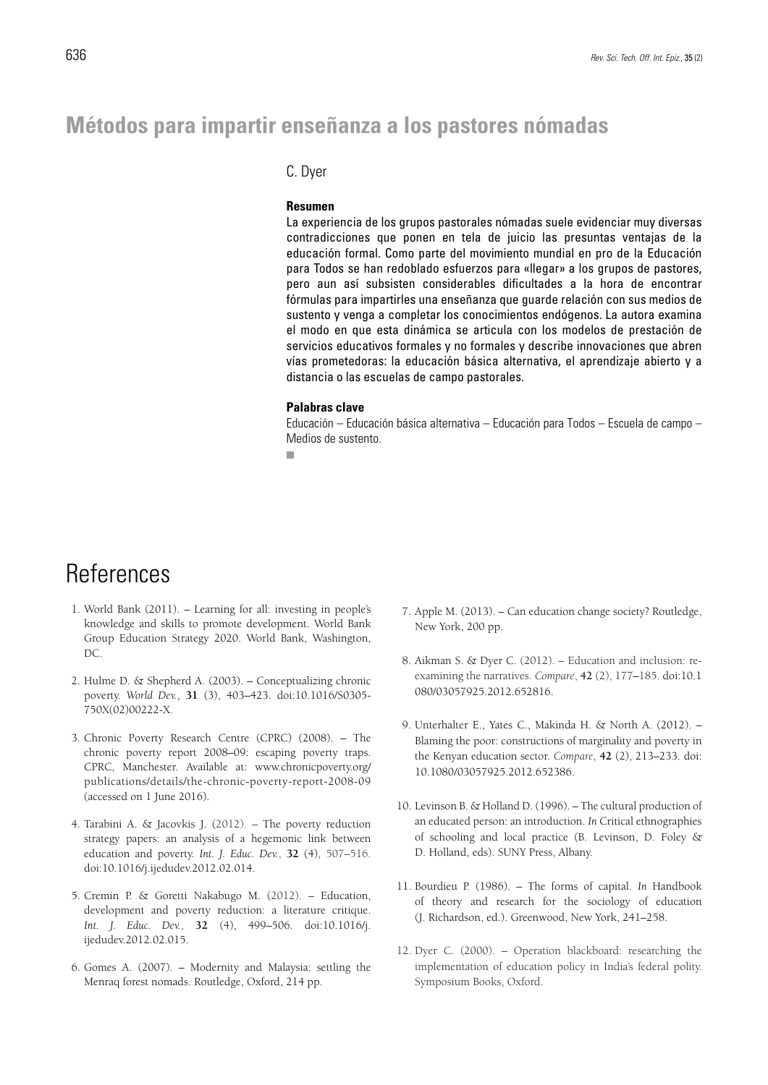### **Métodos para impartir enseñanza a los pastores nómadas**

### C. Dyer

#### **Resumen**

La experiencia de los grupos pastorales nómadas suele evidenciar muy diversas contradicciones que ponen en tela de juicio las presuntas ventajas de la educación formal. Como parte del movimiento mundial en pro de la Educación para Todos se han redoblado esfuerzos para «llegar» a los grupos de pastores, pero aun así subsisten considerables dificultades a la hora de encontrar fórmulas para impartirles una enseñanza que guarde relación con sus medios de sustento y venga a completar los conocimientos endógenos. La autora examina el modo en que esta dinámica se articula con los modelos de prestación de servicios educativos formales y no formales y describe innovaciones que abren vías prometedoras: la educación básica alternativa, el aprendizaje abierto y a distancia o las escuelas de campo pastorales.

#### **Palabras clave**

Educación – Educación básica alternativa – Educación para Todos – Escuela de campo – Medios de sustento.

**COL** 

### References

- 1. World Bank (2011). Learning for all: investing in people's knowledge and skills to promote development. World Bank Group Education Strategy 2020. World Bank, Washington, DC.
- 2. Hulme D. & Shepherd A. (2003). Conceptualizing chronic poverty. *World Dev.*, **31** (3), 403–423. doi:10.1016/S0305- 750X(02)00222-X.
- 3. Chronic Poverty Research Centre (CPRC) (2008). The chronic poverty report 2008–09: escaping poverty traps. CPRC, Manchester. Available at: www.chronicpoverty.org/ publications/details/the-chronic-poverty-report-2008-09 (accessed on 1 June 2016).
- 4. Tarabini A. & Jacovkis J. (2012). The poverty reduction strategy papers: an analysis of a hegemonic link between education and poverty. *Int. J. Educ. Dev.*, **32** (4), 507–516. doi:10.1016/j.ijedudev.2012.02.014.
- 5. Cremin P. & Goretti Nakabugo M. (2012). Education, development and poverty reduction: a literature critique. *Int. J. Educ. Dev.*, **32** (4), 499–506. doi:10.1016/j. ijedudev.2012.02.015.
- 6. Gomes A. (2007). Modernity and Malaysia: settling the Menraq forest nomads. Routledge, Oxford, 214 pp.
- 7. Apple M. (2013). Can education change society? Routledge, New York, 200 pp.
- 8. Aikman S. & Dyer C. (2012). Education and inclusion: reexamining the narratives. *Compare*, **42** (2), 177–185. doi:10.1 080/03057925.2012.652816.
- 9. Unterhalter E., Yates C., Makinda H. & North A. (2012). Blaming the poor: constructions of marginality and poverty in the Kenyan education sector. *Compare*, **42** (2), 213–233. doi: 10.1080/03057925.2012.652386.
- 10. Levinson B. & Holland D. (1996). The cultural production of an educated person: an introduction. *In* Critical ethnographies of schooling and local practice (B. Levinson, D. Foley & D. Holland, eds). SUNY Press, Albany.
- 11. Bourdieu P. (1986). The forms of capital. *In* Handbook of theory and research for the sociology of education (J. Richardson, ed.). Greenwood, New York, 241–258.
- 12. Dyer C. (2000). Operation blackboard: researching the implementation of education policy in India's federal polity. Symposium Books, Oxford.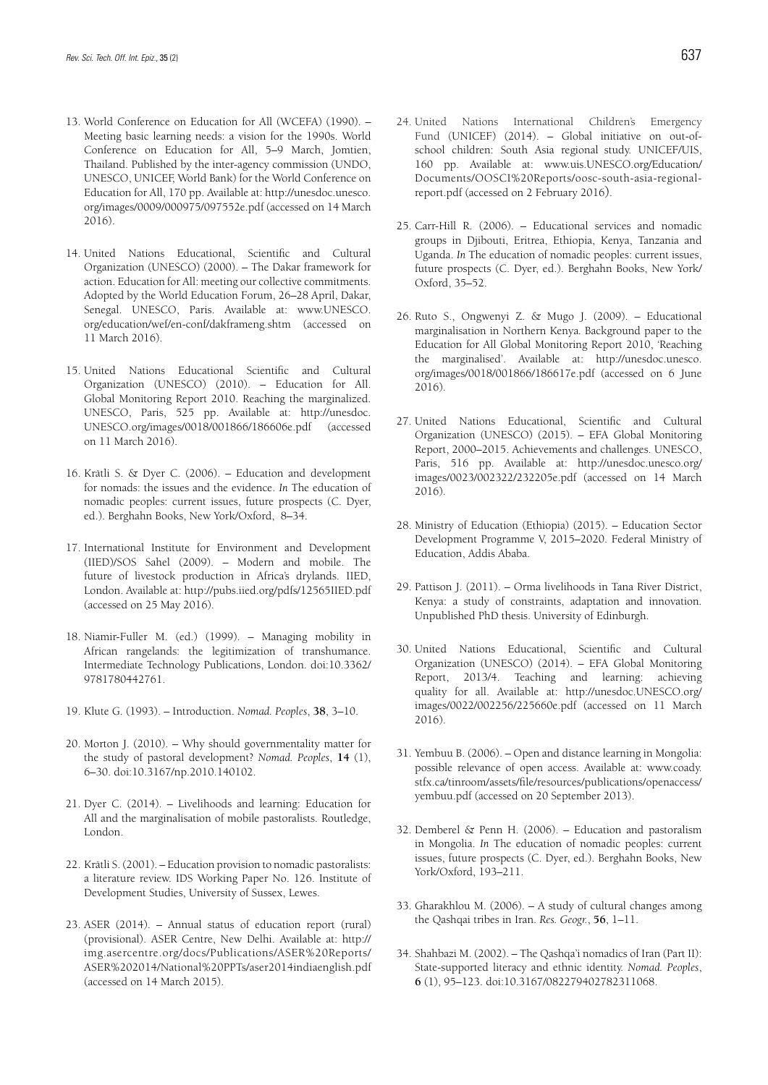- 13. World Conference on Education for All (WCEFA) (1990). Meeting basic learning needs: a vision for the 1990s. World Conference on Education for All, 5–9 March, Jomtien, Thailand. Published by the inter-agency commission (UNDO, UNESCO, UNICEF, World Bank) for the World Conference on Education for All, 170 pp. Available at: http://unesdoc.unesco. org/images/0009/000975/097552e.pdf (accessed on 14 March 2016).
- 14. United Nations Educational, Scientific and Cultural Organization (UNESCO) (2000). – The Dakar framework for action. Education for All: meeting our collective commitments. Adopted by the World Education Forum, 26–28 April, Dakar, Senegal. UNESCO, Paris. Available at: www.UNESCO. org/education/wef/en-conf/dakframeng.shtm (accessed on 11 March 2016).
- 15. United Nations Educational Scientific and Cultural Organization (UNESCO) (2010). – Education for All. Global Monitoring Report 2010. Reaching the marginalized. UNESCO, Paris, 525 pp. Available at: http://unesdoc. UNESCO.org/images/0018/001866/186606e.pdf (accessed on 11 March 2016).
- 16. Krätli S. & Dyer C. (2006). Education and development for nomads: the issues and the evidence. *In* The education of nomadic peoples: current issues, future prospects (C. Dyer, ed.). Berghahn Books, New York/Oxford, 8–34.
- 17. International Institute for Environment and Development (IIED)/SOS Sahel (2009). – Modern and mobile. The future of livestock production in Africa's drylands. IIED, London. Available at: http://pubs.iied.org/pdfs/12565IIED.pdf (accessed on 25 May 2016).
- 18. Niamir-Fuller M. (ed.) (1999). Managing mobility in African rangelands: the legitimization of transhumance. Intermediate Technology Publications, London. doi:10.3362/ 9781780442761.
- 19. Klute G. (1993). Introduction. *Nomad. Peoples*, **38**, 3–10.
- 20. Morton J. (2010). Why should governmentality matter for the study of pastoral development? *Nomad. Peoples*, **14** (1), 6–30. doi:10.3167/np.2010.140102.
- 21. Dyer C. (2014). Livelihoods and learning: Education for All and the marginalisation of mobile pastoralists. Routledge, London.
- 22. Krätli S. (2001). Education provision to nomadic pastoralists: a literature review. IDS Working Paper No. 126. Institute of Development Studies, University of Sussex, Lewes.
- 23. ASER (2014). Annual status of education report (rural) (provisional). ASER Centre, New Delhi. Available at: http:// img.asercentre.org/docs/Publications/ASER%20Reports/ ASER%202014/National%20PPTs/aser2014indiaenglish.pdf (accessed on 14 March 2015).
- 24. United Nations International Children's Emergency Fund (UNICEF) (2014). – Global initiative on out-ofschool children: South Asia regional study. UNICEF/UIS, 160 pp. Available at: www.uis.UNESCO.org/Education/ Documents/OOSCI%20Reports/oosc-south-asia-regionalreport.pdf (accessed on 2 February 2016).
- 25. Carr-Hill R. (2006). Educational services and nomadic groups in Djibouti, Eritrea, Ethiopia, Kenya, Tanzania and Uganda. *In* The education of nomadic peoples: current issues, future prospects (C. Dyer, ed.). Berghahn Books, New York/ Oxford, 35–52.
- 26. Ruto S., Ongwenyi Z. & Mugo J. (2009). Educational marginalisation in Northern Kenya*.* Background paper to the Education for All Global Monitoring Report 2010, 'Reaching the marginalised'. Available at: http://unesdoc.unesco. org/images/0018/001866/186617e.pdf (accessed on 6 June 2016).
- 27. United Nations Educational, Scientific and Cultural Organization (UNESCO) (2015). – EFA Global Monitoring Report, 2000–2015. Achievements and challenges. UNESCO, Paris, 516 pp. Available at: http://unesdoc.unesco.org/ images/0023/002322/232205e.pdf (accessed on 14 March 2016).
- 28. Ministry of Education (Ethiopia) (2015). Education Sector Development Programme V, 2015–2020. Federal Ministry of Education, Addis Ababa.
- 29. Pattison J. (2011). Orma livelihoods in Tana River District, Kenya: a study of constraints, adaptation and innovation*.*  Unpublished PhD thesis. University of Edinburgh.
- 30. United Nations Educational, Scientific and Cultural Organization (UNESCO) (2014). – EFA Global Monitoring Report, 2013/4. Teaching and learning: achieving quality for all. Available at: http://unesdoc.UNESCO.org/ images/0022/002256/225660e.pdf (accessed on 11 March 2016).
- 31. Yembuu B. (2006). Open and distance learning in Mongolia: possible relevance of open access. Available at: www.coady. stfx.ca/tinroom/assets/file/resources/publications/openaccess/ yembuu.pdf (accessed on 20 September 2013).
- 32. Demberel & Penn H. (2006). Education and pastoralism in Mongolia. *In* The education of nomadic peoples: current issues, future prospects (C. Dyer, ed.). Berghahn Books, New York/Oxford, 193–211.
- 33. Gharakhlou M. (2006). A study of cultural changes among the Qashqai tribes in Iran. *Res. Geogr.*, **56**, 1–11.
- 34. Shahbazi M. (2002). The Qashqa'i nomadics of Iran (Part II): State-supported literacy and ethnic identity. *Nomad. Peoples*, **6** (1), 95–123. doi:10.3167/082279402782311068.